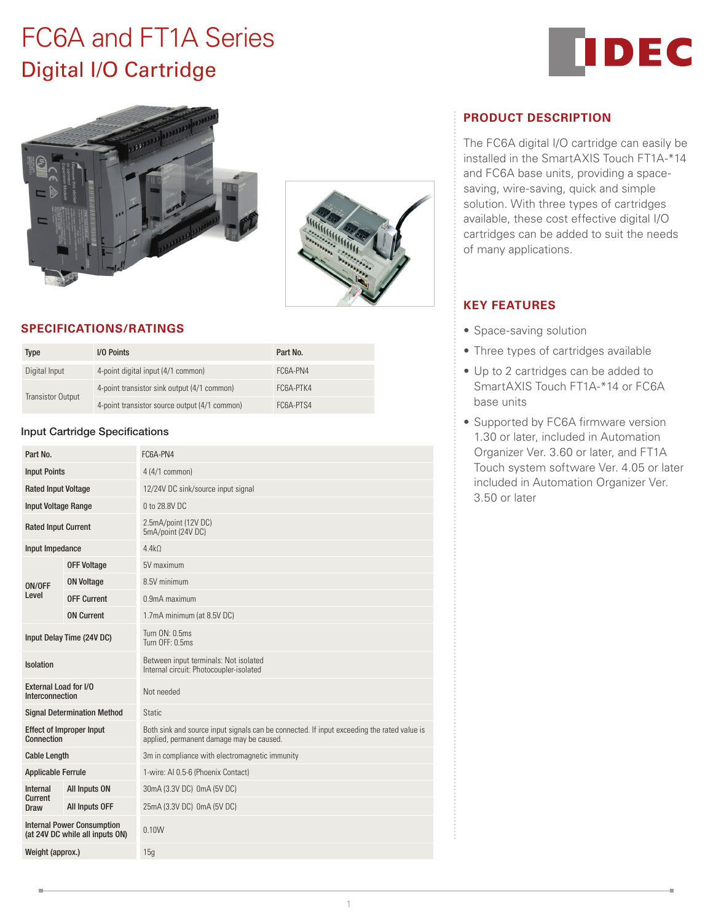# FC6A and FT1A Series Digital I/O Cartridge







# **SPECIFICATIONS/RATINGS**

| Type              | I/O Points                                    | Part No.  |
|-------------------|-----------------------------------------------|-----------|
| Digital Input     | 4-point digital input (4/1 common)            | FC6A-PN4  |
| Transistor Output | 4-point transistor sink output (4/1 common)   | FC6A-PTK4 |
|                   | 4-point transistor source output (4/1 common) | FC6A-PTS4 |

### Input Cartridge Specifications

| Part No.                                                             |                    | FC6A-PN4                                                                                                                               |  |
|----------------------------------------------------------------------|--------------------|----------------------------------------------------------------------------------------------------------------------------------------|--|
| <b>Input Points</b>                                                  |                    | 4 (4/1 common)                                                                                                                         |  |
| <b>Rated Input Voltage</b>                                           |                    | 12/24V DC sink/source input signal                                                                                                     |  |
| <b>Input Voltage Range</b>                                           |                    | 0 to 28.8V DC                                                                                                                          |  |
| <b>Rated Input Current</b>                                           |                    | 2.5mA/point (12V DC)<br>5mA/point (24V DC)                                                                                             |  |
| Input Impedance                                                      |                    | 4.4kO                                                                                                                                  |  |
| ON/OFF<br>Level                                                      | <b>OFF Voltage</b> | 5V maximum                                                                                                                             |  |
|                                                                      | <b>ON Voltage</b>  | 8.5V minimum                                                                                                                           |  |
|                                                                      | <b>OFF Current</b> | 0.9mA maximum                                                                                                                          |  |
|                                                                      | <b>ON Current</b>  | 1.7mA minimum (at 8.5V DC)                                                                                                             |  |
| Input Delay Time (24V DC)                                            |                    | Turn ON: 0.5ms<br>Turn OFF: 0.5ms                                                                                                      |  |
| <b>Isolation</b>                                                     |                    | Between input terminals: Not isolated<br>Internal circuit: Photocoupler-isolated                                                       |  |
| External Load for I/O<br>Interconnection                             |                    | Not needed                                                                                                                             |  |
| <b>Signal Determination Method</b>                                   |                    | Static                                                                                                                                 |  |
| <b>Effect of Improper Input</b><br>Connection                        |                    | Both sink and source input signals can be connected. If input exceeding the rated value is<br>applied, permanent damage may be caused. |  |
| <b>Cable Length</b>                                                  |                    | 3m in compliance with electromagnetic immunity                                                                                         |  |
| <b>Applicable Ferrule</b>                                            |                    | 1-wire: AI 0.5-6 (Phoenix Contact)                                                                                                     |  |
| Internal<br>Current<br>Draw                                          | All Inputs ON      | 30mA (3.3V DC) 0mA (5V DC)                                                                                                             |  |
|                                                                      | All Inputs OFF     | 25mA (3.3V DC) 0mA (5V DC)                                                                                                             |  |
| <b>Internal Power Consumption</b><br>(at 24V DC while all inputs ON) |                    | 0.10W                                                                                                                                  |  |
| Weight (approx.)                                                     |                    | 15q                                                                                                                                    |  |

# **PRODUCT DESCRIPTION**

The FC6A digital I/O cartridge can easily be installed in the SmartAXIS Touch FT1A-\*14 and FC6A base units, providing a spacesaving, wire-saving, quick and simple solution. With three types of cartridges available, these cost effective digital I/O cartridges can be added to suit the needs of many applications.

# **KEY FEATURES**

- Space-saving solution
- Three types of cartridges available
- Up to 2 cartridges can be added to SmartAXIS Touch FT1A-\*14 or FC6A base units
- Supported by FC6A firmware version 1.30 or later, included in Automation Organizer Ver. 3.60 or later, and FT1A Touch system software Ver. 4.05 or later included in Automation Organizer Ver. 3.50 or later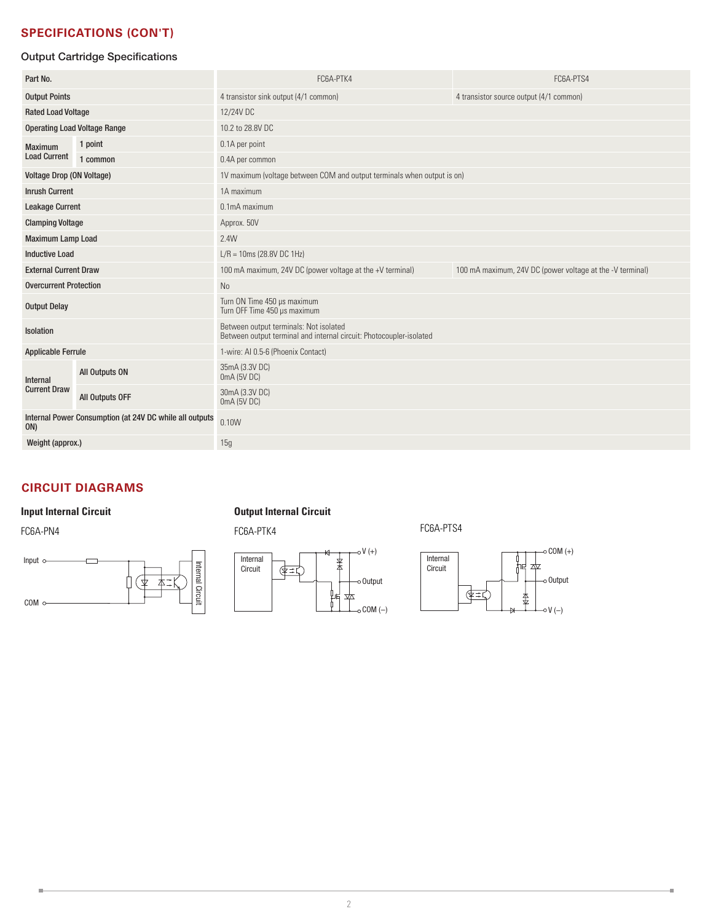# **SPECIFICATIONS (CON'T)**

# Output Cartridge Specifications

| Part No.                                                       |                 | FC6A-PTK4                                                                                                     | FC6A-PTS4                                                 |  |
|----------------------------------------------------------------|-----------------|---------------------------------------------------------------------------------------------------------------|-----------------------------------------------------------|--|
| <b>Output Points</b>                                           |                 | 4 transistor sink output (4/1 common)                                                                         | 4 transistor source output (4/1 common)                   |  |
| <b>Rated Load Voltage</b>                                      |                 | 12/24V DC                                                                                                     |                                                           |  |
| <b>Operating Load Voltage Range</b>                            |                 | 10.2 to 28.8V DC                                                                                              |                                                           |  |
| <b>Maximum</b>                                                 | 1 point         | 0.1A per point                                                                                                |                                                           |  |
| <b>Load Current</b>                                            | 1 common        | 0.4A per common                                                                                               |                                                           |  |
| <b>Voltage Drop (ON Voltage)</b>                               |                 | 1V maximum (voltage between COM and output terminals when output is on)                                       |                                                           |  |
| <b>Inrush Current</b>                                          |                 | 1A maximum                                                                                                    |                                                           |  |
| <b>Leakage Current</b>                                         |                 | 0.1mA maximum                                                                                                 |                                                           |  |
| <b>Clamping Voltage</b>                                        |                 | Approx. 50V                                                                                                   |                                                           |  |
| <b>Maximum Lamp Load</b>                                       |                 | 2.4W                                                                                                          |                                                           |  |
| <b>Inductive Load</b>                                          |                 | $L/R = 10ms (28.8V DC 1Hz)$                                                                                   |                                                           |  |
| <b>External Current Draw</b>                                   |                 | 100 mA maximum, 24V DC (power voltage at the +V terminal)                                                     | 100 mA maximum, 24V DC (power voltage at the -V terminal) |  |
| <b>Overcurrent Protection</b>                                  |                 | No                                                                                                            |                                                           |  |
| <b>Output Delay</b>                                            |                 | Turn ON Time 450 µs maximum<br>Turn OFF Time 450 µs maximum                                                   |                                                           |  |
| Isolation                                                      |                 | Between output terminals: Not isolated<br>Between output terminal and internal circuit: Photocoupler-isolated |                                                           |  |
| <b>Applicable Ferrule</b>                                      |                 | 1-wire: Al 0.5-6 (Phoenix Contact)                                                                            |                                                           |  |
| <b>Internal</b><br><b>Current Draw</b>                         | All Outputs ON  | 35mA (3.3V DC)<br>0mA (5V DC)                                                                                 |                                                           |  |
|                                                                | All Outputs OFF | 30mA (3.3V DC)<br>0mA (5V DC)                                                                                 |                                                           |  |
| Internal Power Consumption (at 24V DC while all outputs<br>ON) |                 | 0.10W                                                                                                         |                                                           |  |
| Weight (approx.)                                               |                 | 15g                                                                                                           |                                                           |  |

# **CIRCUIT DIAGRAMS**

f.



# **Input Internal Circuit Circuit Output Internal Circuit**



# FC6A-PN4 FC6A-PTK4 FC6A-PTS4



۰